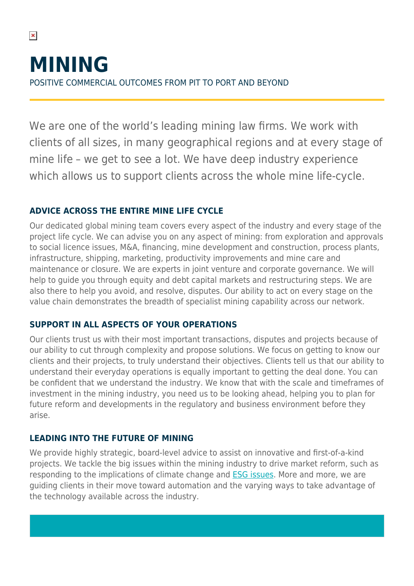We are one of the world's leading mining law firms. We work with clients of all sizes, in many geographical regions and at every stage of mine life – we get to see a lot. We have deep industry experience which allows us to support clients across the whole mine life-cycle.

# **ADVICE ACROSS THE ENTIRE MINE LIFE CYCLE**

 $\pmb{\times}$ 

Our dedicated global mining team covers every aspect of the industry and every stage of the project life cycle. We can advise you on any aspect of mining: from exploration and approvals to social licence issues, M&A, financing, mine development and construction, process plants, infrastructure, shipping, marketing, productivity improvements and mine care and maintenance or closure. We are experts in joint venture and corporate governance. We will help to guide you through equity and debt capital markets and restructuring steps. We are also there to help you avoid, and resolve, disputes. Our ability to act on every stage on the value chain demonstrates the breadth of specialist mining capability across our network.

# **SUPPORT IN ALL ASPECTS OF YOUR OPERATIONS**

Our clients trust us with their most important transactions, disputes and projects because of our ability to cut through complexity and propose solutions. We focus on getting to know our clients and their projects, to truly understand their objectives. Clients tell us that our ability to understand their everyday operations is equally important to getting the deal done. You can be confident that we understand the industry. We know that with the scale and timeframes of investment in the mining industry, you need us to be looking ahead, helping you to plan for future reform and developments in the regulatory and business environment before they arise.

# **LEADING INTO THE FUTURE OF MINING**

We provide highly strategic, board-level advice to assist on innovative and first-of-a-kind projects. We tackle the big issues within the mining industry to drive market reform, such as responding to the implications of climate change and **ESG** issues. More and more, we are guiding clients in their move toward automation and the varying ways to take advantage of the technology available across the industry.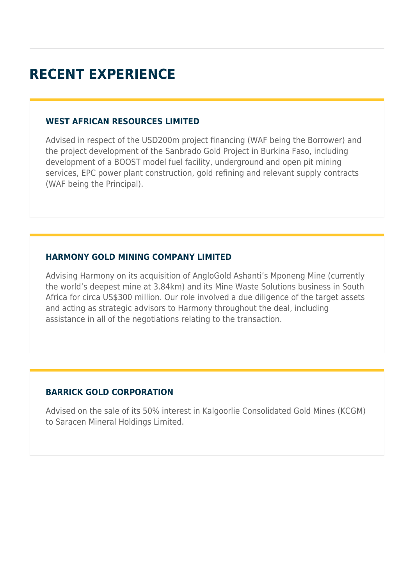# **RECENT EXPERIENCE**

#### **WEST AFRICAN RESOURCES LIMITED**

Advised in respect of the USD200m project financing (WAF being the Borrower) and the project development of the Sanbrado Gold Project in Burkina Faso, including development of a BOOST model fuel facility, underground and open pit mining services, EPC power plant construction, gold refining and relevant supply contracts (WAF being the Principal).

#### **HARMONY GOLD MINING COMPANY LIMITED**

Advising Harmony on its acquisition of AngloGold Ashanti's Mponeng Mine (currently the world's deepest mine at 3.84km) and its Mine Waste Solutions business in South Africa for circa US\$300 million. Our role involved a due diligence of the target assets and acting as strategic advisors to Harmony throughout the deal, including assistance in all of the negotiations relating to the transaction.

### **BARRICK GOLD CORPORATION**

Advised on the sale of its 50% interest in Kalgoorlie Consolidated Gold Mines (KCGM) to Saracen Mineral Holdings Limited.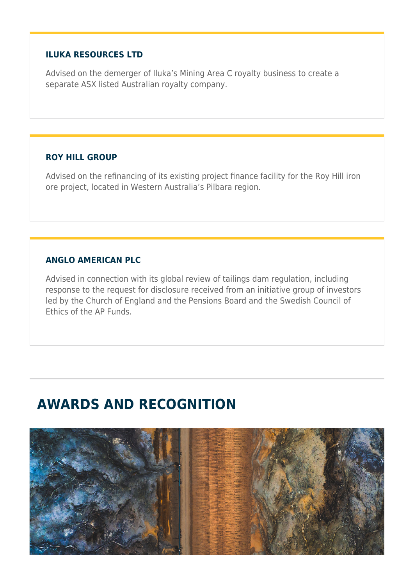#### **ILUKA RESOURCES LTD**

Advised on the demerger of Iluka's Mining Area C royalty business to create a separate ASX listed Australian royalty company.

### **ROY HILL GROUP**

Advised on the refinancing of its existing project finance facility for the Roy Hill iron ore project, located in Western Australia's Pilbara region.

#### **ANGLO AMERICAN PLC**

Advised in connection with its global review of tailings dam regulation, including response to the request for disclosure received from an initiative group of investors led by the Church of England and the Pensions Board and the Swedish Council of Ethics of the AP Funds.

# **AWARDS AND RECOGNITION**

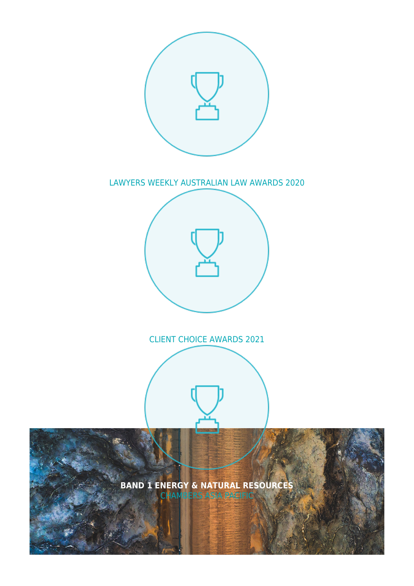

## LAWYERS WEEKLY AUSTRALIAN LAW AWARDS 2020



# CLIENT CHOICE AWARDS 2021

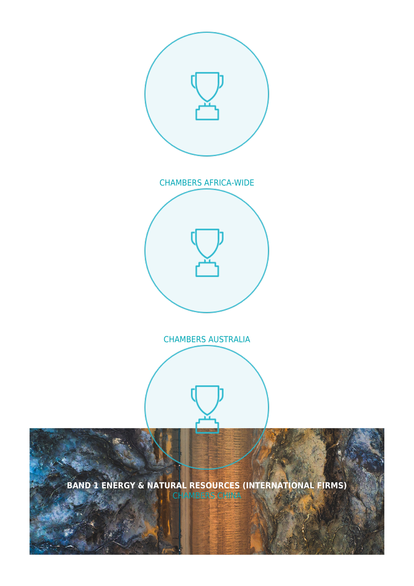

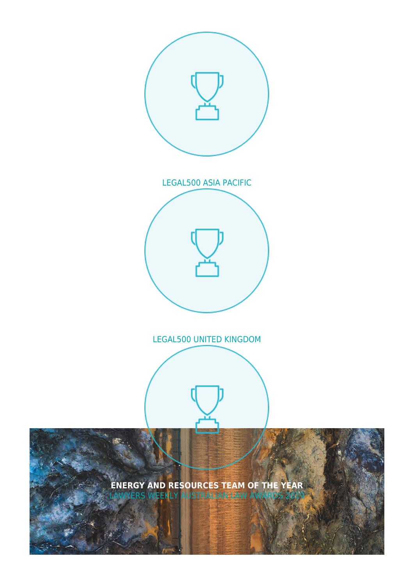

## LEGAL500 UNITED KINGDOM